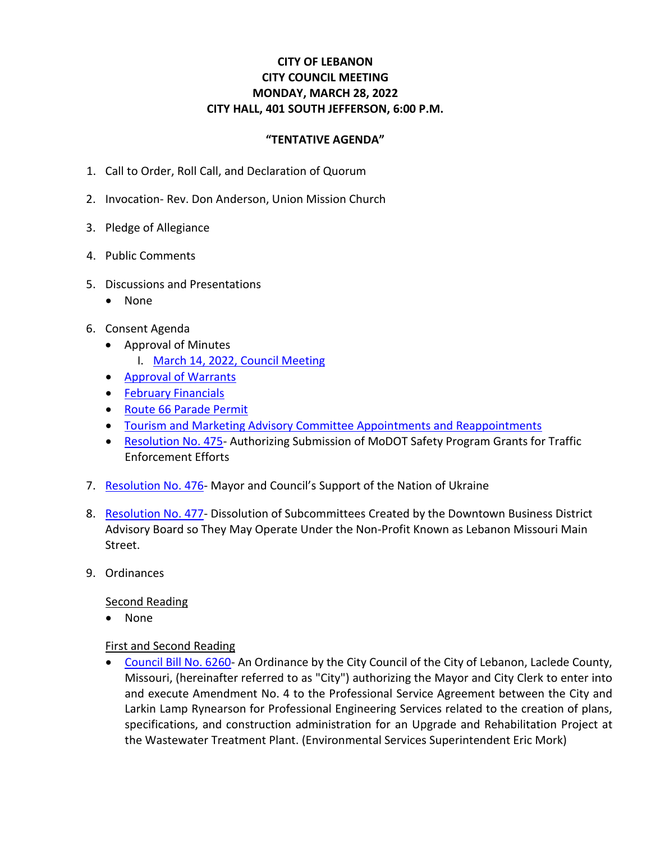# **CITY OF LEBANON CITY COUNCIL MEETING MONDAY, MARCH 28, 2022 CITY HALL, 401 SOUTH JEFFERSON, 6:00 P.M.**

### **"TENTATIVE AGENDA"**

- 1. Call to Order, Roll Call, and Declaration of Quorum
- 2. Invocation- Rev. Don Anderson, Union Mission Church
- 3. Pledge of Allegiance
- 4. Public Comments
- 5. Discussions and Presentations
	- None
- 6. Consent Agenda
	- Approval of Minutes
		- I. [March 14, 2022, Council Meeting](https://www.lebanonmissouri.org/DocumentCenter/View/35977/03-14-22-Draft-Minutes)
	- [Approval of Warrants](https://www.lebanonmissouri.org/DocumentCenter/View/35989/Warrants)
	- [February Financials](https://www.lebanonmissouri.org/DocumentCenter/View/35993/February-Financials)
	- [Route 66 Parade Permit](https://www.lebanonmissouri.org/DocumentCenter/View/35987/Route-66-Parade-Permit)
	- [Tourism and Marketing Advisory Committee Appointments and Reappointments](https://www.lebanonmissouri.org/DocumentCenter/View/35995/Board-Appointments-and-Reappointments)
	- [Resolution No. 475-](https://www.lebanonmissouri.org/DocumentCenter/View/35986/Resolution-No-475--Authorizing-Submisson-of-MoDOT-Safey-Program-Grants-for-Traffic-Enforcement-Efforts) Authorizing Submission of MoDOT Safety Program Grants for Traffic Enforcement Efforts
- 7. [Resolution No. 476-](https://www.lebanonmissouri.org/DocumentCenter/View/35988/Resolution-No-476--Support-of-the-Nation-of-Ukraine) Mayor and Council's Support of the Nation of Ukraine
- 8. [Resolution No. 477-](https://www.lebanonmissouri.org/DocumentCenter/View/35990/Resolution-No-477--Dissolution-of-Design-Economic-Vitality-Organization-and-Promotion-Subcommittess-under-the-DTBD) Dissolution of Subcommittees Created by the Downtown Business District Advisory Board so They May Operate Under the Non-Profit Known as Lebanon Missouri Main Street.
- 9. Ordinances

#### Second Reading

• None

#### First and Second Reading

• [Council Bill No. 6260-](https://www.lebanonmissouri.org/DocumentCenter/View/35970/Council-Bill-No-6260--Agreement-Amendment-WWTP-Upgrade-and-Rehabilitation-Engineering-Services-Larkin-Lamp-Rynearson) An Ordinance by the City Council of the City of Lebanon, Laclede County, Missouri, (hereinafter referred to as "City") authorizing the Mayor and City Clerk to enter into and execute Amendment No. 4 to the Professional Service Agreement between the City and Larkin Lamp Rynearson for Professional Engineering Services related to the creation of plans, specifications, and construction administration for an Upgrade and Rehabilitation Project at the Wastewater Treatment Plant. (Environmental Services Superintendent Eric Mork)